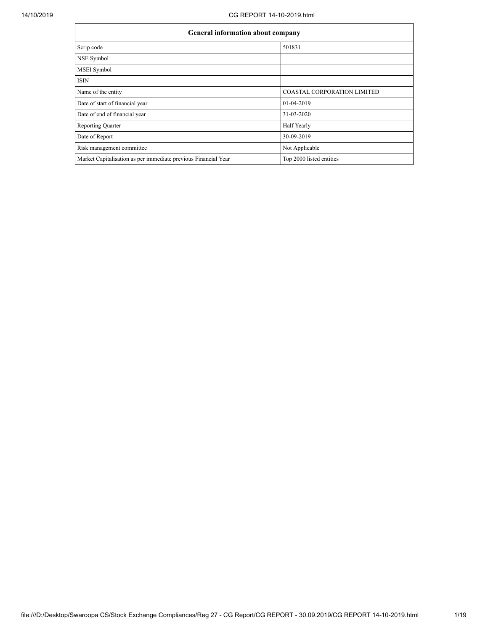| <b>General information about company</b>                       |                                    |
|----------------------------------------------------------------|------------------------------------|
| Scrip code                                                     | 501831                             |
| NSE Symbol                                                     |                                    |
| MSEI Symbol                                                    |                                    |
| <b>ISIN</b>                                                    |                                    |
| Name of the entity                                             | <b>COASTAL CORPORATION LIMITED</b> |
| Date of start of financial year                                | 01-04-2019                         |
| Date of end of financial year                                  | 31-03-2020                         |
| <b>Reporting Quarter</b>                                       | Half Yearly                        |
| Date of Report                                                 | 30-09-2019                         |
| Risk management committee                                      | Not Applicable                     |
| Market Capitalisation as per immediate previous Financial Year | Top 2000 listed entities           |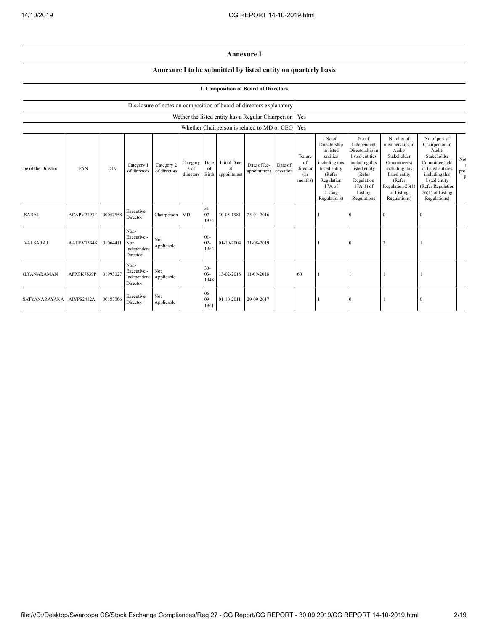## **Annexure I**

## **Annexure I to be submitted by listed entity on quarterly basis**

| I. Composition of Board of Directors |  |  |
|--------------------------------------|--|--|
|--------------------------------------|--|--|

|                          |            |            |                                                       |                            |                               |                          | Disclosure of notes on composition of board of directors explanatory |                            |                      |                                            |                                                                                                                                                |                                                                                                                                                                |                                                                                                                                                                     |                                                                                                                                                                                                |                              |
|--------------------------|------------|------------|-------------------------------------------------------|----------------------------|-------------------------------|--------------------------|----------------------------------------------------------------------|----------------------------|----------------------|--------------------------------------------|------------------------------------------------------------------------------------------------------------------------------------------------|----------------------------------------------------------------------------------------------------------------------------------------------------------------|---------------------------------------------------------------------------------------------------------------------------------------------------------------------|------------------------------------------------------------------------------------------------------------------------------------------------------------------------------------------------|------------------------------|
|                          |            |            |                                                       |                            |                               |                          | Wether the listed entity has a Regular Chairperson   Yes             |                            |                      |                                            |                                                                                                                                                |                                                                                                                                                                |                                                                                                                                                                     |                                                                                                                                                                                                |                              |
|                          |            |            |                                                       |                            |                               |                          | Whether Chairperson is related to MD or CEO                          |                            |                      | Yes                                        |                                                                                                                                                |                                                                                                                                                                |                                                                                                                                                                     |                                                                                                                                                                                                |                              |
| ne of the Director       | PAN        | <b>DIN</b> | Category 1<br>of directors                            | Category 2<br>of directors | Category<br>3 of<br>directors | Date<br>of<br>Birth      | <b>Initial Date</b><br>of<br>appointment                             | Date of Re-<br>appointment | Date of<br>cessation | Tenure<br>of<br>director<br>(in<br>months) | No of<br>Directorship<br>in listed<br>entities<br>including this<br>listed entity<br>(Refer<br>Regulation<br>17A of<br>Listing<br>Regulations) | No of<br>Independent<br>Directorship in<br>listed entities<br>including this<br>listed entity<br>(Refer<br>Regulation<br>$17A(1)$ of<br>Listing<br>Regulations | Number of<br>memberships in<br>Audit/<br>Stakeholder<br>Committee(s)<br>including this<br>listed entity<br>(Refer<br>Regulation 26(1)<br>of Listing<br>Regulations) | No of post of<br>Chairperson in<br>Audit/<br>Stakeholder<br>Committee held<br>in listed entities<br>including this<br>listed entity<br>(Refer Regulation<br>$26(1)$ of Listing<br>Regulations) | No<br>$_{\rm pro}^{\rm pro}$ |
| SARAJ                    | ACAPV2793F | 00057558   | Executive<br>Director                                 | Chairperson MD             |                               | $31 -$<br>$07 -$<br>1954 | 30-05-1981                                                           | 25-01-2016                 |                      |                                            |                                                                                                                                                | $\mathbf{0}$                                                                                                                                                   | $\bf{0}$                                                                                                                                                            |                                                                                                                                                                                                |                              |
| VALSARAJ                 | AAHPV7534K | 01064411   | Non-<br>Executive -<br>Non<br>Independent<br>Director | Not<br>Applicable          |                               | $01-$<br>$02 -$<br>1964  | $01 - 10 - 2004$                                                     | 31-08-2019                 |                      |                                            |                                                                                                                                                | $\theta$                                                                                                                                                       | $\overline{2}$                                                                                                                                                      |                                                                                                                                                                                                |                              |
| <b>ILYANARAMAN</b>       | AFXPK7839P | 01993027   | Non-<br>Executive -<br>Independent<br>Director        | Not<br>Applicable          |                               | $30 -$<br>$03 -$<br>1948 | 13-02-2018                                                           | 11-09-2018                 |                      | 60                                         |                                                                                                                                                |                                                                                                                                                                |                                                                                                                                                                     |                                                                                                                                                                                                |                              |
| SATYANARAYANA AIYPS2412A |            | 00187006   | Executive<br>Director                                 | Not<br>Applicable          |                               | $06 -$<br>$09-$<br>1961  | 01-10-2011                                                           | 29-09-2017                 |                      |                                            |                                                                                                                                                | $\mathbf{0}$                                                                                                                                                   |                                                                                                                                                                     | n                                                                                                                                                                                              |                              |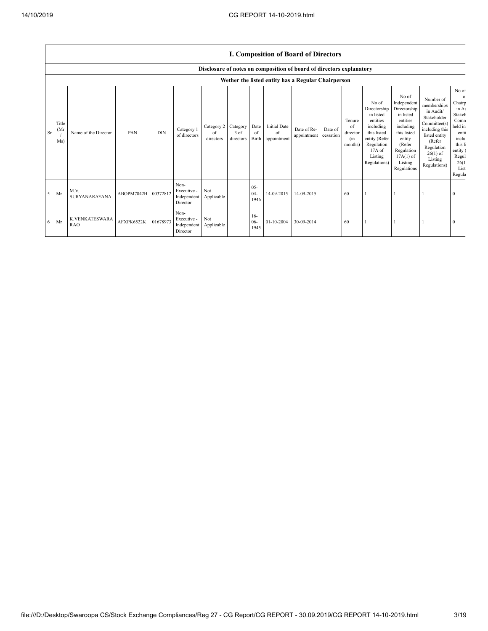|           |                      |                       |                     |            |                                                           |                               |                               |                          |                                          | <b>1. COMPOSITION OF DOATU OF DIFECTORS</b>                          |                      |                                            |                                                                                                                                                |                                                                                                                                                                      |                                                                                                                                                                          |                                                                                                                                  |
|-----------|----------------------|-----------------------|---------------------|------------|-----------------------------------------------------------|-------------------------------|-------------------------------|--------------------------|------------------------------------------|----------------------------------------------------------------------|----------------------|--------------------------------------------|------------------------------------------------------------------------------------------------------------------------------------------------|----------------------------------------------------------------------------------------------------------------------------------------------------------------------|--------------------------------------------------------------------------------------------------------------------------------------------------------------------------|----------------------------------------------------------------------------------------------------------------------------------|
|           |                      |                       |                     |            |                                                           |                               |                               |                          |                                          | Disclosure of notes on composition of board of directors explanatory |                      |                                            |                                                                                                                                                |                                                                                                                                                                      |                                                                                                                                                                          |                                                                                                                                  |
|           |                      |                       |                     |            |                                                           |                               |                               |                          |                                          | Wether the listed entity has a Regular Chairperson                   |                      |                                            |                                                                                                                                                |                                                                                                                                                                      |                                                                                                                                                                          |                                                                                                                                  |
| <b>Sr</b> | Title<br>(Mr)<br>Ms) | Name of the Director  | PAN                 | <b>DIN</b> | Category 1<br>of directors                                | Category 2<br>of<br>directors | Category<br>3 of<br>directors | Date<br>of<br>Birth      | <b>Initial Date</b><br>of<br>appointment | Date of Re-<br>appointment                                           | Date of<br>cessation | Tenure<br>of<br>director<br>(in<br>months) | No of<br>Directorship<br>in listed<br>entities<br>including<br>this listed<br>entity (Refer<br>Regulation<br>17A of<br>Listing<br>Regulations) | No of<br>Independent<br>Directorship<br>in listed<br>entities<br>including<br>this listed<br>entity<br>(Refer<br>Regulation<br>$17A(1)$ of<br>Listing<br>Regulations | Number of<br>memberships<br>in Audit/<br>Stakeholder<br>Committee(s)<br>including this<br>listed entity<br>(Refer<br>Regulation<br>$26(1)$ of<br>Listing<br>Regulations) | No of<br>Chairp<br>in At<br>Stakel<br>Comn<br>held in<br>enti<br>inclu<br>this 1<br>entity (<br>Regul<br>26(1)<br>List<br>Regula |
| 5         | Mr                   | M.V.<br>SURYANARAYANA | ABOPM7842H 00372812 |            | Non-<br>Executive -<br>Independent Applicable<br>Director | Not                           |                               | $05 -$<br>$04 -$<br>1946 | 14-09-2015                               | 14-09-2015                                                           |                      | 60                                         |                                                                                                                                                |                                                                                                                                                                      |                                                                                                                                                                          | $\Omega$                                                                                                                         |
| 6         | Mr                   | K.VENKATESWARA<br>RAO | AFXPK6522K          | 01678973   | Non-<br>Executive -<br>Independent Applicable<br>Director | Not                           |                               | $16-$<br>$06 -$<br>1945  | $01 - 10 - 2004$                         | 30-09-2014                                                           |                      | 60                                         |                                                                                                                                                |                                                                                                                                                                      |                                                                                                                                                                          | $\Omega$                                                                                                                         |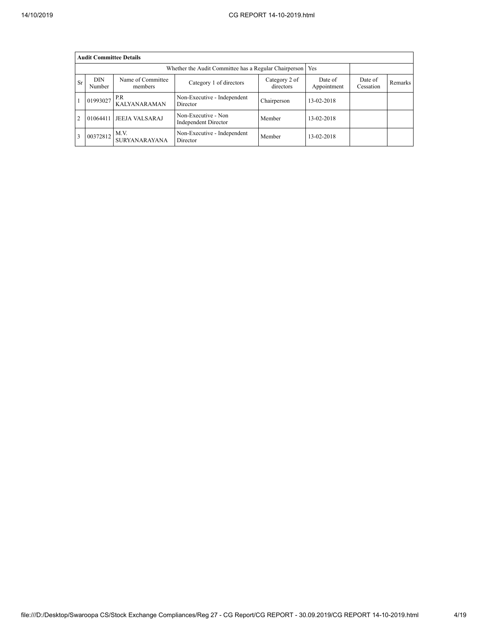|                | <b>Audit Committee Details</b>                                                                                                                                             |                              |                                             |             |            |  |  |  |  |  |  |  |  |
|----------------|----------------------------------------------------------------------------------------------------------------------------------------------------------------------------|------------------------------|---------------------------------------------|-------------|------------|--|--|--|--|--|--|--|--|
|                | Whether the Audit Committee has a Regular Chairperson   Yes                                                                                                                |                              |                                             |             |            |  |  |  |  |  |  |  |  |
| Sr             | Name of Committee<br><b>DIN</b><br>Category 2 of<br>Date of<br>Date of<br>Category 1 of directors<br>Remarks<br>directors<br>Appointment<br>Number<br>Cessation<br>members |                              |                                             |             |            |  |  |  |  |  |  |  |  |
|                | 01993027                                                                                                                                                                   | P.R<br><b>KALYANARAMAN</b>   | Non-Executive - Independent<br>Director     | Chairperson | 13-02-2018 |  |  |  |  |  |  |  |  |
| $\overline{c}$ | 01064411                                                                                                                                                                   | <b>JEEJA VALSARAJ</b>        | Non-Executive - Non<br>Independent Director | Member      | 13-02-2018 |  |  |  |  |  |  |  |  |
| 3              | 00372812                                                                                                                                                                   | M.V.<br><b>SURYANARAYANA</b> | Non-Executive - Independent<br>Director     | Member      | 13-02-2018 |  |  |  |  |  |  |  |  |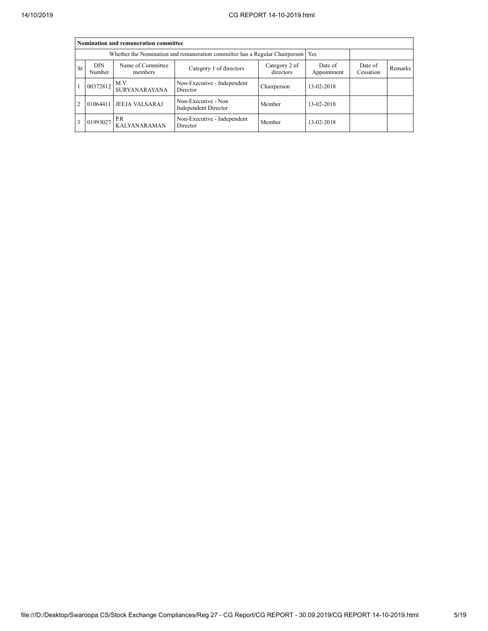|                | Nomination and remuneration committee                                                                                                                                      |                              |                                         |             |            |  |  |  |  |  |  |  |
|----------------|----------------------------------------------------------------------------------------------------------------------------------------------------------------------------|------------------------------|-----------------------------------------|-------------|------------|--|--|--|--|--|--|--|
|                | Whether the Nomination and remuneration committee has a Regular Chairperson   Yes                                                                                          |                              |                                         |             |            |  |  |  |  |  |  |  |
| Sr             | Name of Committee<br><b>DIN</b><br>Date of<br>Category 2 of<br>Date of<br>Category 1 of directors<br>Remarks<br>directors<br>Appointment<br>Number<br>Cessation<br>members |                              |                                         |             |            |  |  |  |  |  |  |  |
|                | 00372812                                                                                                                                                                   | M.V.<br><b>SURYANARAYANA</b> | Non-Executive - Independent<br>Director | Chairperson | 13-02-2018 |  |  |  |  |  |  |  |
| $\overline{2}$ | 01064411                                                                                                                                                                   | <b>JEEJA VALSARAJ</b>        | Member                                  | 13-02-2018  |            |  |  |  |  |  |  |  |
| 3              | 01993027                                                                                                                                                                   | P.R<br><b>KALYANARAMAN</b>   | Non-Executive - Independent<br>Director | Member      | 13-02-2018 |  |  |  |  |  |  |  |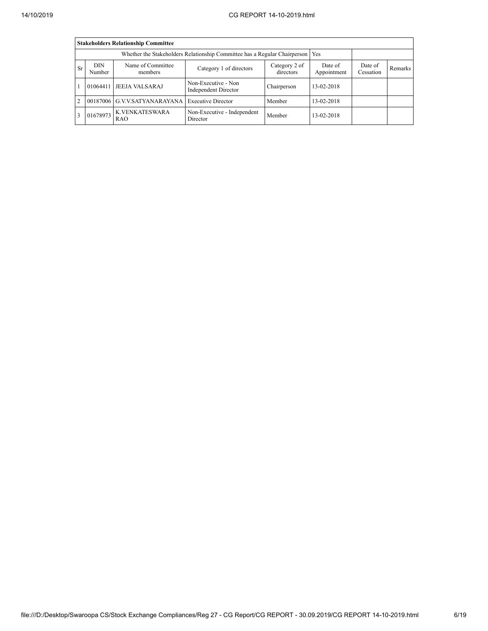|                | <b>Stakeholders Relationship Committee</b>                                                                                                                          |                              |                                             |             |            |  |  |  |  |  |  |  |
|----------------|---------------------------------------------------------------------------------------------------------------------------------------------------------------------|------------------------------|---------------------------------------------|-------------|------------|--|--|--|--|--|--|--|
|                | Whether the Stakeholders Relationship Committee has a Regular Chairperson   Yes                                                                                     |                              |                                             |             |            |  |  |  |  |  |  |  |
| Sr             | DIN<br>Name of Committee<br>Category 2 of<br>Date of<br>Date of<br>Category 1 of directors<br>Remarks<br>directors<br>Cessation<br>Appointment<br>Number<br>members |                              |                                             |             |            |  |  |  |  |  |  |  |
|                | 01064411                                                                                                                                                            | <b>JEEJA VALSARAJ</b>        | Non-Executive - Non<br>Independent Director | Chairperson | 13-02-2018 |  |  |  |  |  |  |  |
| $\overline{2}$ |                                                                                                                                                                     | 00187006 G.V.V.SATYANARAYANA | <b>Executive Director</b>                   | Member      | 13-02-2018 |  |  |  |  |  |  |  |
| 3              | 01678973                                                                                                                                                            | K.VENKATESWARA<br>RAO        | Non-Executive - Independent<br>Director     | Member      | 13-02-2018 |  |  |  |  |  |  |  |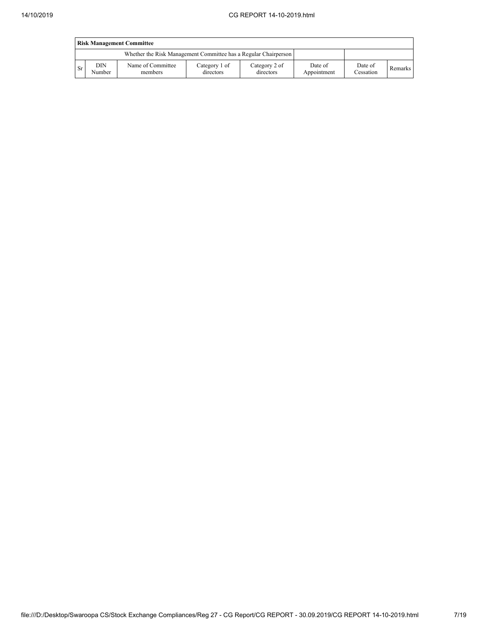|      | <b>Risk Management Committee</b>                                |                              |                            |                            |                        |                      |         |  |  |  |  |  |
|------|-----------------------------------------------------------------|------------------------------|----------------------------|----------------------------|------------------------|----------------------|---------|--|--|--|--|--|
|      | Whether the Risk Management Committee has a Regular Chairperson |                              |                            |                            |                        |                      |         |  |  |  |  |  |
| - Sr | DIN<br>Number                                                   | Name of Committee<br>members | Category 1 of<br>directors | Category 2 of<br>directors | Date of<br>Appointment | Date of<br>Cessation | Remarks |  |  |  |  |  |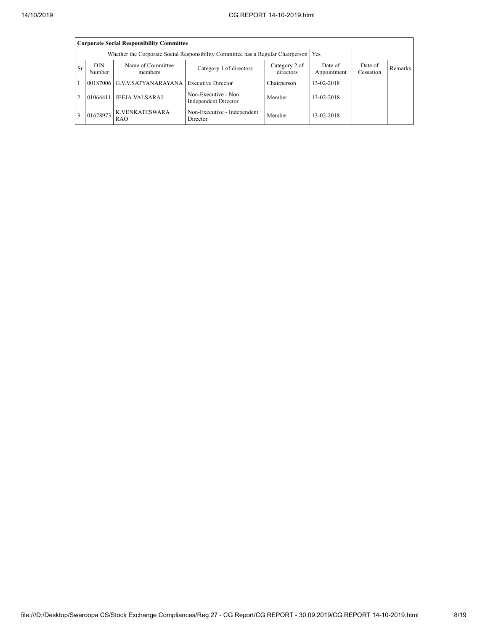|                | <b>Corporate Social Responsibility Committee</b>                                      |                                                                                                                                                    |                                                                              |        |            |  |  |  |  |  |  |  |  |
|----------------|---------------------------------------------------------------------------------------|----------------------------------------------------------------------------------------------------------------------------------------------------|------------------------------------------------------------------------------|--------|------------|--|--|--|--|--|--|--|--|
|                | Whether the Corporate Social Responsibility Committee has a Regular Chairperson   Yes |                                                                                                                                                    |                                                                              |        |            |  |  |  |  |  |  |  |  |
| <b>Sr</b>      | DIN<br>Number                                                                         | Name of Committee<br>Category 2 of<br>Date of<br>Date of<br>Category 1 of directors<br>Remarks<br>directors<br>Cessation<br>Appointment<br>members |                                                                              |        |            |  |  |  |  |  |  |  |  |
|                |                                                                                       |                                                                                                                                                    | 00187006 G.V.V.SATYANARAYANA Executive Director<br>Chairperson<br>13-02-2018 |        |            |  |  |  |  |  |  |  |  |
| $\overline{2}$ | 01064411                                                                              | <b>JEEJA VALSARAJ</b>                                                                                                                              | Non-Executive - Non<br>Independent Director                                  | Member | 13-02-2018 |  |  |  |  |  |  |  |  |
|                | 01678973                                                                              | K.VENKATESWARA<br>RAO                                                                                                                              | Non-Executive - Independent<br>Director                                      | Member | 13-02-2018 |  |  |  |  |  |  |  |  |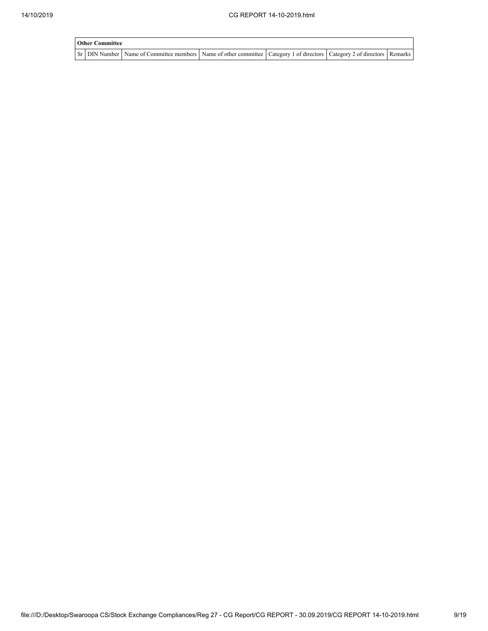| <b>Other Committee</b> |                                                                                                                                     |  |  |  |  |  |  |  |  |  |
|------------------------|-------------------------------------------------------------------------------------------------------------------------------------|--|--|--|--|--|--|--|--|--|
|                        | Sr   DIN Number   Name of Committee members   Name of other committee   Category 1 of directors   Category 2 of directors   Remarks |  |  |  |  |  |  |  |  |  |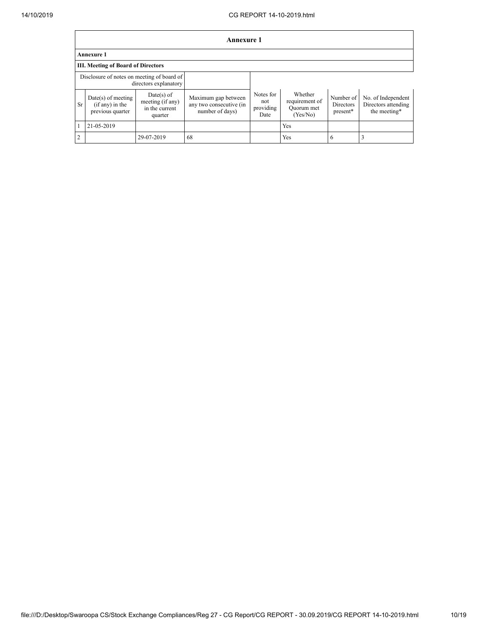|                | <b>Annexure 1</b>                                                   |                                                               |                                                                   |                                       |                                                     |                                    |                                                           |  |  |  |  |  |
|----------------|---------------------------------------------------------------------|---------------------------------------------------------------|-------------------------------------------------------------------|---------------------------------------|-----------------------------------------------------|------------------------------------|-----------------------------------------------------------|--|--|--|--|--|
|                | <b>Annexure 1</b>                                                   |                                                               |                                                                   |                                       |                                                     |                                    |                                                           |  |  |  |  |  |
|                | <b>III. Meeting of Board of Directors</b>                           |                                                               |                                                                   |                                       |                                                     |                                    |                                                           |  |  |  |  |  |
|                | Disclosure of notes on meeting of board of<br>directors explanatory |                                                               |                                                                   |                                       |                                                     |                                    |                                                           |  |  |  |  |  |
| Sr             | $Date(s)$ of meeting<br>$(if any)$ in the<br>previous quarter       | $Date(s)$ of<br>meeting (if any)<br>in the current<br>quarter | Maximum gap between<br>any two consecutive (in<br>number of days) | Notes for<br>not<br>providing<br>Date | Whether<br>requirement of<br>Quorum met<br>(Yes/No) | Number of<br>Directors<br>present* | No. of Independent<br>Directors attending<br>the meeting* |  |  |  |  |  |
| 1              | 21-05-2019                                                          |                                                               |                                                                   |                                       | Yes                                                 |                                    |                                                           |  |  |  |  |  |
| $\overline{2}$ |                                                                     | 29-07-2019                                                    | 68                                                                |                                       | Yes                                                 | 6                                  |                                                           |  |  |  |  |  |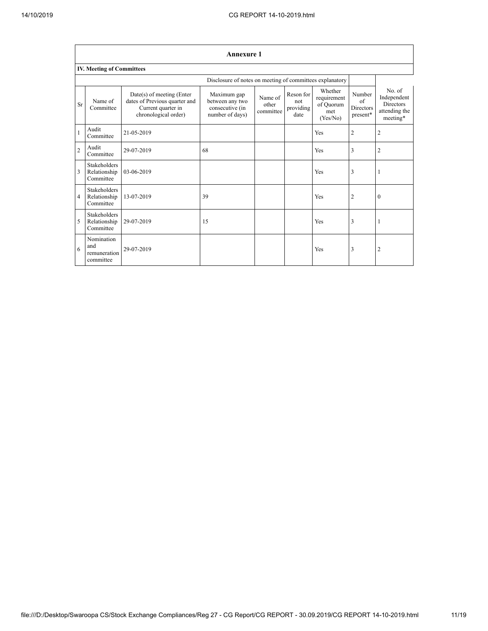|                | <b>Annexure 1</b>                                |                                                                                                          |                                                                      |                               |                                       |                                                        |                                                      |                                                                        |  |  |  |  |
|----------------|--------------------------------------------------|----------------------------------------------------------------------------------------------------------|----------------------------------------------------------------------|-------------------------------|---------------------------------------|--------------------------------------------------------|------------------------------------------------------|------------------------------------------------------------------------|--|--|--|--|
|                | <b>IV. Meeting of Committees</b>                 |                                                                                                          |                                                                      |                               |                                       |                                                        |                                                      |                                                                        |  |  |  |  |
|                |                                                  | Disclosure of notes on meeting of committees explanatory                                                 |                                                                      |                               |                                       |                                                        |                                                      |                                                                        |  |  |  |  |
| Sr             | Name of<br>Committee                             | Date(s) of meeting (Enter<br>dates of Previous quarter and<br>Current quarter in<br>chronological order) | Maximum gap<br>between any two<br>consecutive (in<br>number of days) | Name of<br>other<br>committee | Reson for<br>not<br>providing<br>date | Whether<br>requirement<br>of Quorum<br>met<br>(Yes/No) | Number<br>$\alpha$ f<br><b>Directors</b><br>present* | No. of<br>Independent<br><b>Directors</b><br>attending the<br>meeting* |  |  |  |  |
| $\mathbf{1}$   | Audit<br>Committee                               | 21-05-2019                                                                                               |                                                                      |                               |                                       | Yes                                                    | $\overline{2}$                                       | $\overline{2}$                                                         |  |  |  |  |
| $\overline{2}$ | Audit<br>Committee                               | 29-07-2019                                                                                               | 68                                                                   |                               |                                       | Yes                                                    | 3                                                    | $\overline{2}$                                                         |  |  |  |  |
| 3              | <b>Stakeholders</b><br>Relationship<br>Committee | 03-06-2019                                                                                               |                                                                      |                               |                                       | Yes                                                    | 3                                                    | 1                                                                      |  |  |  |  |
| 4              | <b>Stakeholders</b><br>Relationship<br>Committee | 13-07-2019                                                                                               | 39                                                                   |                               |                                       | Yes                                                    | $\overline{2}$                                       | $\theta$                                                               |  |  |  |  |
| 5              | <b>Stakeholders</b><br>Relationship<br>Committee | 29-07-2019                                                                                               | 15                                                                   |                               |                                       | Yes                                                    | 3                                                    | 1                                                                      |  |  |  |  |
| 6              | Nomination<br>and<br>remuneration<br>committee   | 29-07-2019                                                                                               |                                                                      |                               |                                       | Yes                                                    | 3                                                    | $\overline{2}$                                                         |  |  |  |  |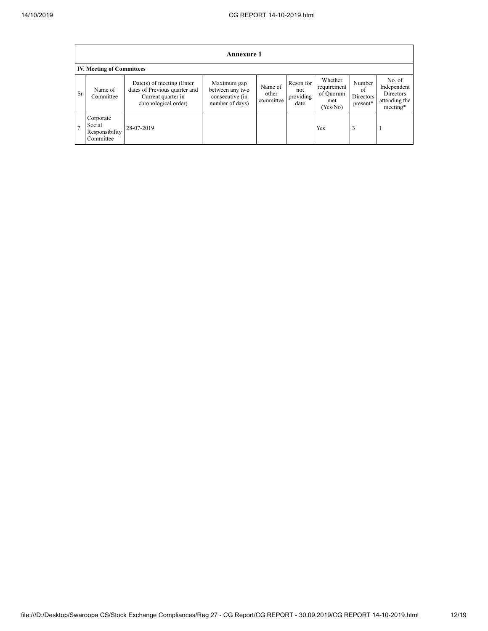|                | <b>Annexure 1</b>                                  |                                                                                                            |                                                                      |                               |                                       |                                                        |                                       |                                                                        |
|----------------|----------------------------------------------------|------------------------------------------------------------------------------------------------------------|----------------------------------------------------------------------|-------------------------------|---------------------------------------|--------------------------------------------------------|---------------------------------------|------------------------------------------------------------------------|
|                | <b>IV. Meeting of Committees</b>                   |                                                                                                            |                                                                      |                               |                                       |                                                        |                                       |                                                                        |
| <b>Sr</b>      | Name of<br>Committee                               | $Date(s)$ of meeting (Enter<br>dates of Previous quarter and<br>Current quarter in<br>chronological order) | Maximum gap<br>between any two<br>consecutive (in<br>number of days) | Name of<br>other<br>committee | Reson for<br>not<br>providing<br>date | Whether<br>requirement<br>of Quorum<br>met<br>(Yes/No) | Number<br>of<br>Directors<br>present* | No. of<br>Independent<br><b>Directors</b><br>attending the<br>meeting* |
| $\overline{7}$ | Corporate<br>Social<br>Responsibility<br>Committee | 28-07-2019                                                                                                 |                                                                      |                               |                                       | Yes                                                    | 3                                     |                                                                        |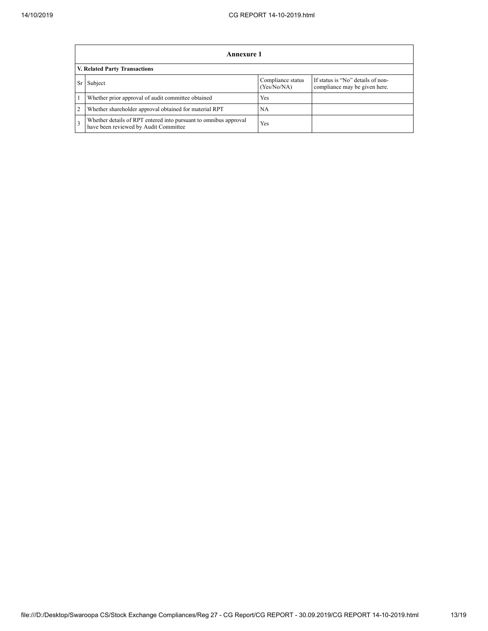|    | <b>Annexure 1</b>                                                                                         |                                  |                                                                    |  |  |
|----|-----------------------------------------------------------------------------------------------------------|----------------------------------|--------------------------------------------------------------------|--|--|
|    | V. Related Party Transactions                                                                             |                                  |                                                                    |  |  |
| Sr | Subject                                                                                                   | Compliance status<br>(Yes/No/NA) | If status is "No" details of non-<br>compliance may be given here. |  |  |
|    | Whether prior approval of audit committee obtained                                                        | Yes                              |                                                                    |  |  |
| 2  | Whether shareholder approval obtained for material RPT                                                    | NA                               |                                                                    |  |  |
| 3  | Whether details of RPT entered into pursuant to omnibus approval<br>have been reviewed by Audit Committee | Yes                              |                                                                    |  |  |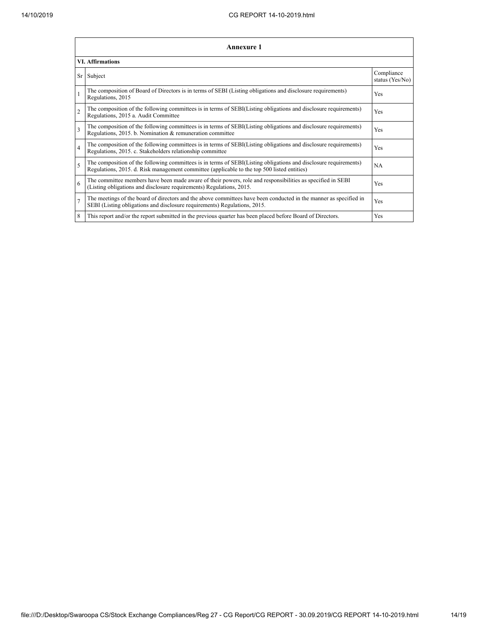|                | <b>Annexure 1</b>                                                                                                                                                                                               |                               |  |  |  |  |
|----------------|-----------------------------------------------------------------------------------------------------------------------------------------------------------------------------------------------------------------|-------------------------------|--|--|--|--|
|                | <b>VI. Affirmations</b>                                                                                                                                                                                         |                               |  |  |  |  |
| Sr             | Subject                                                                                                                                                                                                         | Compliance<br>status (Yes/No) |  |  |  |  |
| $\mathbf{1}$   | The composition of Board of Directors is in terms of SEBI (Listing obligations and disclosure requirements)<br>Regulations, 2015                                                                                | Yes                           |  |  |  |  |
| $\overline{2}$ | The composition of the following committees is in terms of SEBI(Listing obligations and disclosure requirements)<br>Regulations, 2015 a. Audit Committee                                                        | Yes                           |  |  |  |  |
| 3              | The composition of the following committees is in terms of SEBI(Listing obligations and disclosure requirements)<br>Regulations, 2015. b. Nomination & remuneration committee                                   | Yes                           |  |  |  |  |
| $\overline{4}$ | The composition of the following committees is in terms of SEBI(Listing obligations and disclosure requirements)<br>Regulations, 2015. c. Stakeholders relationship committee                                   | Yes                           |  |  |  |  |
| 5              | The composition of the following committees is in terms of SEBI(Listing obligations and disclosure requirements)<br>Regulations, 2015. d. Risk management committee (applicable to the top 500 listed entities) | <b>NA</b>                     |  |  |  |  |
| 6              | The committee members have been made aware of their powers, role and responsibilities as specified in SEBI<br>(Listing obligations and disclosure requirements) Regulations, 2015.                              | Yes                           |  |  |  |  |
| $\overline{7}$ | The meetings of the board of directors and the above committees have been conducted in the manner as specified in<br>SEBI (Listing obligations and disclosure requirements) Regulations, 2015.                  | Yes                           |  |  |  |  |
| 8              | This report and/or the report submitted in the previous quarter has been placed before Board of Directors.                                                                                                      | <b>Yes</b>                    |  |  |  |  |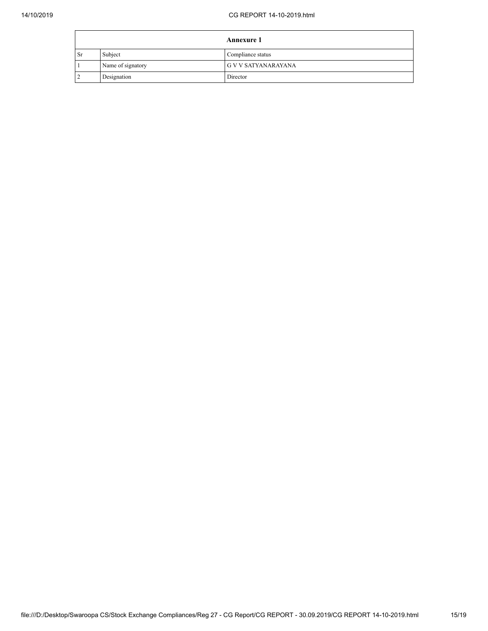|           |                   | <b>Annexure 1</b>          |
|-----------|-------------------|----------------------------|
| <b>Sr</b> | Subject           | Compliance status          |
|           | Name of signatory | <b>G V V SATYANARAYANA</b> |
|           | Designation       | Director                   |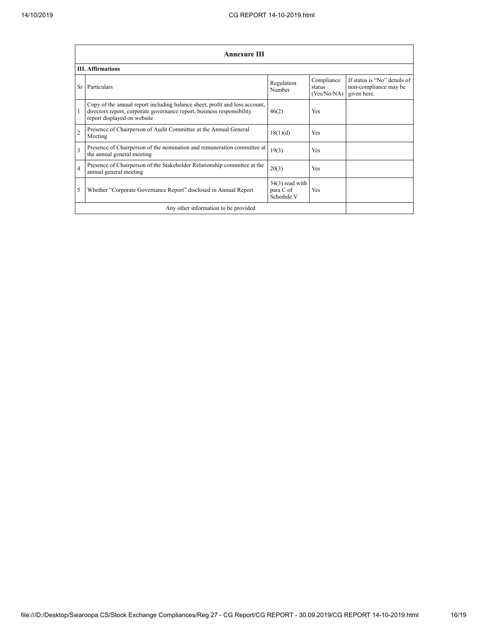|                         | <b>Annexure III</b>                                                                                                                                                                  |                                              |                                     |                                                                      |  |  |
|-------------------------|--------------------------------------------------------------------------------------------------------------------------------------------------------------------------------------|----------------------------------------------|-------------------------------------|----------------------------------------------------------------------|--|--|
|                         | <b>III.</b> Affirmations                                                                                                                                                             |                                              |                                     |                                                                      |  |  |
| Sr                      | Particulars                                                                                                                                                                          | Regulation<br>Number                         | Compliance<br>status<br>(Yes/No/NA) | If status is "No" details of<br>non-compliance may be<br>given here. |  |  |
|                         | Copy of the annual report including balance sheet, profit and loss account,<br>directors report, corporate governance report, business responsibility<br>report displayed on website | 46(2)                                        | <b>Yes</b>                          |                                                                      |  |  |
| $\overline{c}$          | Presence of Chairperson of Audit Committee at the Annual General<br>Meeting                                                                                                          | 18(1)(d)                                     | <b>Yes</b>                          |                                                                      |  |  |
| $\overline{\mathbf{3}}$ | Presence of Chairperson of the nomination and remuneration committee at<br>the annual general meeting                                                                                | 19(3)                                        | <b>Yes</b>                          |                                                                      |  |  |
| $\overline{4}$          | Presence of Chairperson of the Stakeholder Relationship committee at the<br>annual general meeting                                                                                   | 20(3)                                        | Yes                                 |                                                                      |  |  |
| 5                       | Whether "Corporate Governance Report" disclosed in Annual Report                                                                                                                     | $34(3)$ read with<br>para C of<br>Schedule V | Yes                                 |                                                                      |  |  |
|                         | Any other information to be provided                                                                                                                                                 |                                              |                                     |                                                                      |  |  |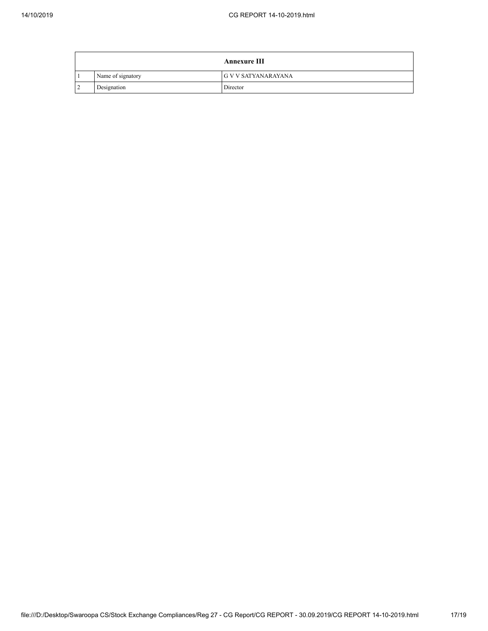|     |                   | <b>Annexure III</b>        |
|-----|-------------------|----------------------------|
|     | Name of signatory | <b>G V V SATYANARAYANA</b> |
| l 2 | Designation       | Director                   |